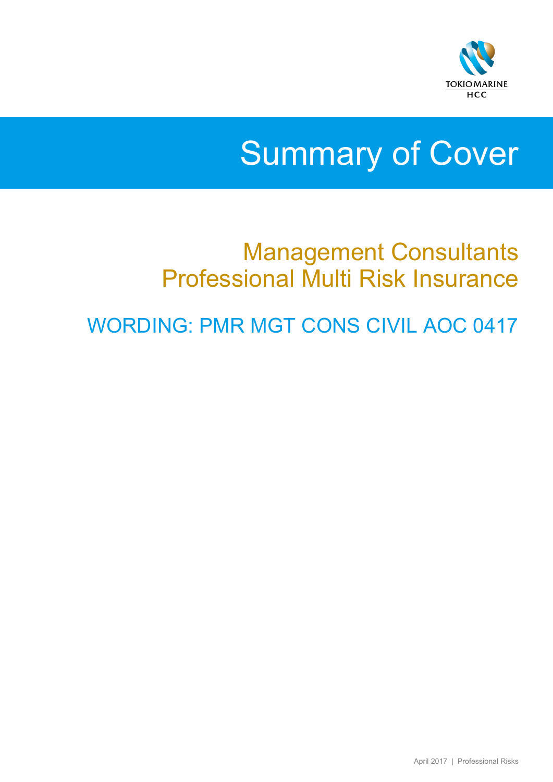

# Summary of Cover

## Management Consultants Professional Multi Risk Insurance

WORDING: PMR MGT CONS CIVIL AOC 0417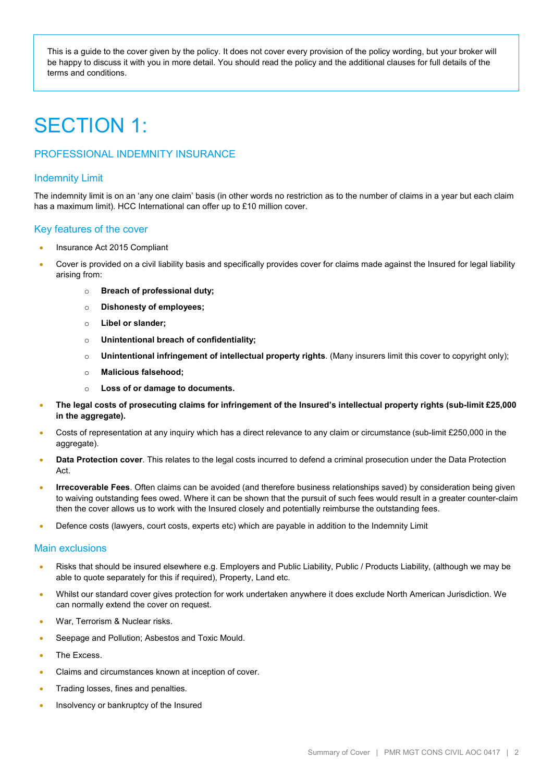This is a guide to the cover given by the policy. It does not cover every provision of the policy wording, but your broker will be happy to discuss it with you in more detail. You should read the policy and the additional clauses for full details of the terms and conditions.

### SECTION 1:

### PROFESSIONAL INDEMNITY INSURANCE

### Indemnity Limit

The indemnity limit is on an 'any one claim' basis (in other words no restriction as to the number of claims in a year but each claim has a maximum limit). HCC International can offer up to £10 million cover.

#### Key features of the cover

- Insurance Act 2015 Compliant
- Cover is provided on a civil liability basis and specifically provides cover for claims made against the Insured for legal liability arising from:
	- o **Breach of professional duty;**
	- o **Dishonesty of employees;**
	- o **Libel or slander;**
	- o **Unintentional breach of confidentiality;**
	- o **Unintentional infringement of intellectual property rights**. (Many insurers limit this cover to copyright only);
	- o **Malicious falsehood;**
	- o **Loss of or damage to documents.**
- **The legal costs of prosecuting claims for infringement of the Insured's intellectual property rights (sub-limit £25,000 in the aggregate).**
- Costs of representation at any inquiry which has a direct relevance to any claim or circumstance (sub-limit £250,000 in the aggregate).
- **Data Protection cover**. This relates to the legal costs incurred to defend a criminal prosecution under the Data Protection Act.
- **Irrecoverable Fees**. Often claims can be avoided (and therefore business relationships saved) by consideration being given to waiving outstanding fees owed. Where it can be shown that the pursuit of such fees would result in a greater counter-claim then the cover allows us to work with the Insured closely and potentially reimburse the outstanding fees.
- Defence costs (lawyers, court costs, experts etc) which are payable in addition to the Indemnity Limit

#### Main exclusions

- Risks that should be insured elsewhere e.g. Employers and Public Liability, Public / Products Liability, (although we may be able to quote separately for this if required), Property, Land etc.
- Whilst our standard cover gives protection for work undertaken anywhere it does exclude North American Jurisdiction. We can normally extend the cover on request.
- War, Terrorism & Nuclear risks.
- Seepage and Pollution; Asbestos and Toxic Mould.
- The Excess.
- Claims and circumstances known at inception of cover.
- Trading losses, fines and penalties.
- Insolvency or bankruptcy of the Insured